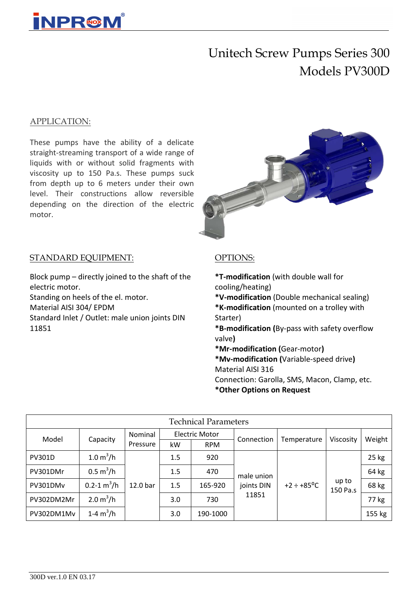

# Unitech Screw Pumps Series 300 Models PV300D

### APPLICATION:

These pumps have the ability of a delicate straight-streaming transport of a wide range of liquids with or without solid fragments with viscosity up to 150 Pa.s. These pumps suck from depth up to 6 meters under their own level. Their constructions allow reversible depending on the direction of the electric motor.



### STANDARD EQUIPMENT:

Block pump – directly joined to the shaft of the electric motor. Standing on heels of the el. motor. Material AISI 304/ EPDM Standard Inlet / Outlet: male union joints DIN 11851

### OPTIONS:

**\*T-modification** (with double wall for cooling/heating) **\*V-modification** (Double mechanical sealing) **\*K-modification** (mounted on a trolley with Starter) **\*B-modification (**By-pass with safety overflow valve**) \*Mr-modification (**Gear-motor**) \*Mv-modification (**Variable-speed drive**)** Material AISI 316 Connection: Garolla, SMS, Macon, Clamp, etc. **\*Other Options on Request**

| <b>Technical Parameters</b> |                            |                     |     |                       |                                   |                        |                   |         |  |  |  |
|-----------------------------|----------------------------|---------------------|-----|-----------------------|-----------------------------------|------------------------|-------------------|---------|--|--|--|
| Model                       | Capacity                   | Nominal             |     | <b>Electric Motor</b> | Connection                        | Temperature            | Viscosity         | Weight  |  |  |  |
|                             |                            | Pressure            | kW  | <b>RPM</b>            |                                   |                        |                   |         |  |  |  |
| <b>PV301D</b>               | 1.0 m <sup>3</sup> /h      | 12.0 <sub>bar</sub> | 1.5 | 920                   |                                   | $+2 \div +85^{\circ}C$ | up to<br>150 Pa.s | $25$ kg |  |  |  |
| PV301DMr                    | $0.5 \text{ m}^3/\text{h}$ |                     | 1.5 | 470                   | male union<br>joints DIN<br>11851 |                        |                   | 64 kg   |  |  |  |
| PV301DMv                    | $0.2 - 1 m3/h$             |                     | 1.5 | 165-920               |                                   |                        |                   | 68 kg   |  |  |  |
| PV302DM2Mr                  | 2.0 m <sup>3</sup> /h      |                     | 3.0 | 730                   |                                   |                        |                   | 77 kg   |  |  |  |
| PV302DM1Mv                  | 1-4 $m^3/h$                |                     | 3.0 | 190-1000              |                                   |                        |                   | 155 kg  |  |  |  |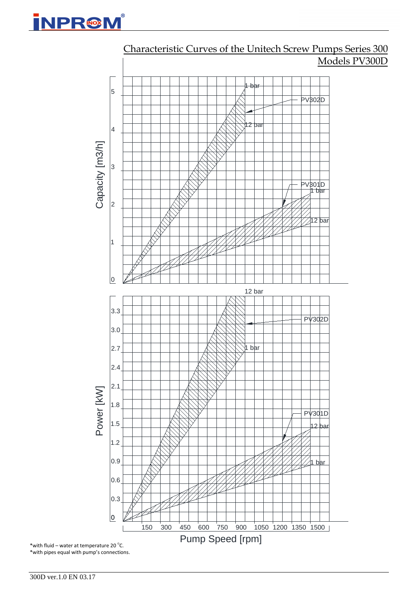



Characteristic Curves of the Unitech Screw Pumps Series 300 Models PV300D

300D ver.1.0 EN 03.17